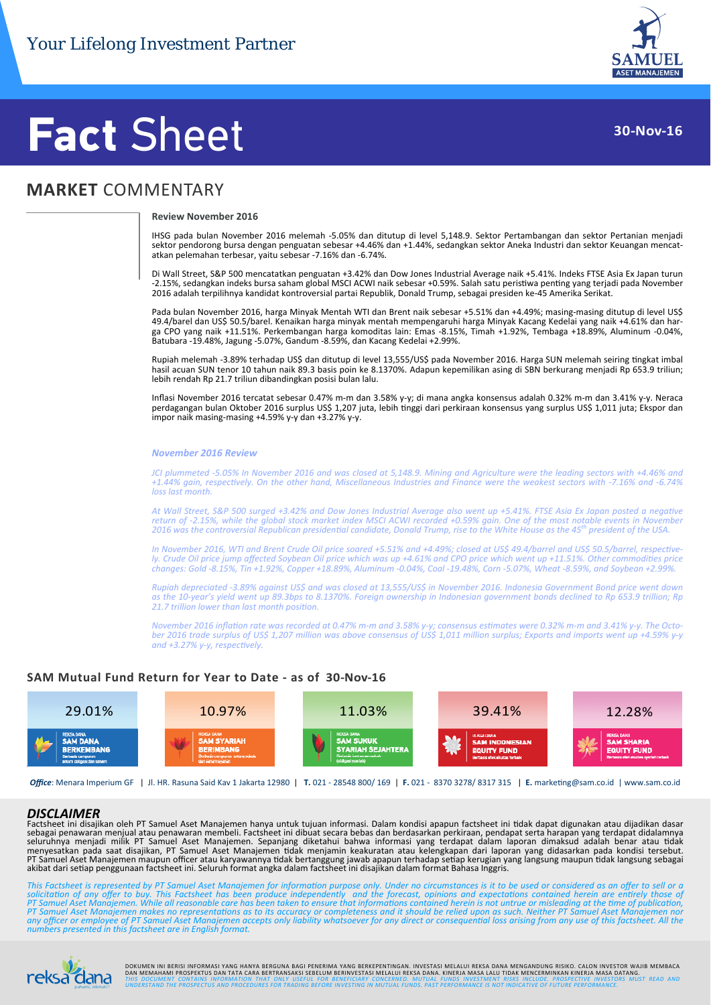

### **30‐Nov‐16**

## **Fact** Sheet

### **MARKET** COMMENTARY

#### **Review November 2016**

IHSG pada bulan November 2016 melemah ‐5.05% dan ditutup di level 5,148.9. Sektor Pertambangan dan sektor Pertanian menjadi sektor pendorong bursa dengan penguatan sebesar +4.46% dan +1.44%, sedangkan sektor Aneka Industri dan sektor Keuangan mencat‐ atkan pelemahan terbesar, yaitu sebesar ‐7.16% dan ‐6.74%.

Di Wall Street, S&P 500 mencatatkan penguatan +3.42% dan Dow Jones Industrial Average naik +5.41%. Indeks FTSE Asia Ex Japan turun -2.15%, sedangkan indeks bursa saham global MSCI ACWI naik sebesar +0.59%. Salah satu peristiwa penting yang terjadi pada November 2016 adalah terpilihnya kandidat kontroversial partai Republik, Donald Trump, sebagai presiden ke‐45 Amerika Serikat.

Pada bulan November 2016, harga Minyak Mentah WTI dan Brent naik sebesar +5.51% dan +4.49%; masing‐masing ditutup di level US\$ 49.4/barel dan US\$ 50.5/barel. Kenaikan harga minyak mentah mempengaruhi harga Minyak Kacang Kedelai yang naik +4.61% dan har‐ ga CPO yang naik +11.51%. Perkembangan harga komoditas lain: Emas ‐8.15%, Timah +1.92%, Tembaga +18.89%, Aluminum ‐0.04%, Batubara ‐19.48%, Jagung ‐5.07%, Gandum ‐8.59%, dan Kacang Kedelai +2.99%.

Rupiah melemah -3.89% terhadap US\$ dan ditutup di level 13,555/US\$ pada November 2016. Harga SUN melemah seiring tingkat imbal hasil acuan SUN tenor 10 tahun naik 89.3 basis poin ke 8.1370%. Adapun kepemilikan asing di SBN berkurang menjadi Rp 653.9 triliun; lebih rendah Rp 21.7 triliun dibandingkan posisi bulan lalu.

Inflasi November 2016 tercatat sebesar 0.47% m‐m dan 3.58% y‐y; di mana angka konsensus adalah 0.32% m‐m dan 3.41% y‐y. Neraca perdagangan bulan Oktober 2016 surplus US\$ 1,207 juta, lebih tinggi dari perkiraan konsensus yang surplus US\$ 1,011 juta; Ekspor dan impor naik masing‐masing +4.59% y‐y dan +3.27% y‐y.

#### *November 2016 Review*

JCI plummeted -5.05% In November 2016 and was closed at 5,148.9. Mining and Agriculture were the leading sectors with +4.46% and +1.44% gain, respectively. On the other hand, Miscellaneous Industries and Finance were the weakest sectors with -7.16% and -6.74% *loss last month.*

At Wall Street, S&P 500 surged +3.42% and Dow Jones Industrial Average also went up +5.41%. FTSE Asia Ex Japan posted a negative return of -2.15%, while the global stock market index MSCI ACWI recorded +0.59% gain. One of the most notable events in November 2016 was the controversial Republican presidential candidate, Donald Trump, rise to the White House as the 45<sup>th</sup> president of the USA.

In November 2016, WTI and Brent Crude Oil price soared +5.51% and +4.49%; closed at US\$ 49.4/barrel and US\$ 50.5/barrel, respectively. Crude Oil price jump affected Soybean Oil price which was up +4.61% and CPO price which went up +11.51%. Other commodities price changes: Gold -8.15%, Tin +1.92%, Copper +18.89%, Aluminum -0.04%, Coal -19.48%, Corn -5.07%, Wheat -8.59%, and Soybean +2.99%

Rupiah depreciated -3.89% against US\$ and was closed at 13,555/US\$ in November 2016. Indonesia Government Bond price went down as the 10-year's yield went up 89.3bps to 8.1370%. Foreign ownership in Indonesian government bonds declined to Rp 653.9 trillion; Rp *21.7 trillion lower than last month posiƟon.*

November 2016 inflation rate was recorded at 0.47% m-m and 3.58% y-y; consensus estimates were 0.32% m-m and 3.41% y-y. The October 2016 trade surplus of US\$ 1,207 million was above consensus of US\$ 1,011 million surplus; Exports and imports went up +4.59% y-y *and +3.27% y‐y, respecƟvely.*

#### **SAM Mutual Fund Return for Year to Date ‐ as of 30‐Nov‐16**



*Office*: Menara Imperium GF | Jl. HR. Rasuna Said Kav 1 Jakarta 12980 | **T.** 021 ‐ 28548 800/ 169 | **F.** 021 ‐ 8370 3278/ 8317 315 | **E.** markeƟng@sam.co.id | www.sam.co.id

#### *DISCLAIMER*

Factsheet ini disajikan oleh PT Samuel Aset Manajemen hanya untuk tujuan informasi. Dalam kondisi apapun factsheet ini tidak dapat digunakan atau dijadikan dasar<br>sebagai penawaran menjual atau penawaran membeli. Factsheet PT Samuel Aset Manajemen maupun officer atau karyawannya tidak bertanggung jawab apapun terhadap setiap kerugian yang langsung maupun tidak langsung sebagai<br>akibat dari setiap penggunaan factsheet ini. Seluruh format angka

This Factsheet is represented by PT Samuel Aset Manajemen for information purpose only. Under no circumstances is it to be used or considered as an offer to sell or a<br>solicitation of any offer to buy. This Factsheet has be PT Samuel Aset Manajemen makes no representations as to its accuracy or completeness and it should be relied upon as such. Neither PT Samuel Aset Manajemen nor<br>any officer or employee of PT Samuel Aset Manajemen accepts on *numbers presented in this factsheet are in English format.*



DOKUMEN INI BERISI INFORMASI YANG HANYA BERGUNA BAGI PENERIMA YANG BERKEPENTINGAN. INVESTASI MELALUI REKSA DANA MENGANDUNG RISIKO. CALON INVESTOR WAJIB MEMBACA<br>DAN MEMAHAMI PROSPEKTUS DAN TATA CARA BERTRANSAKSI SEBELUM BER **UCIFICE** THIS DOCUMENT CONTAINS INFORMATION THAT ONLY USEFUL FOR BENEFICIARY CONCERNED. MUTUAL FUNDS INVESTMENT RISKS INCLUDE. PROSPECTIVE INVESTORS MUST READ AND<br><sub>pahami, nikmati! UNDERSTAND THE PROSPECTUS AND PROCEDURES</sub>